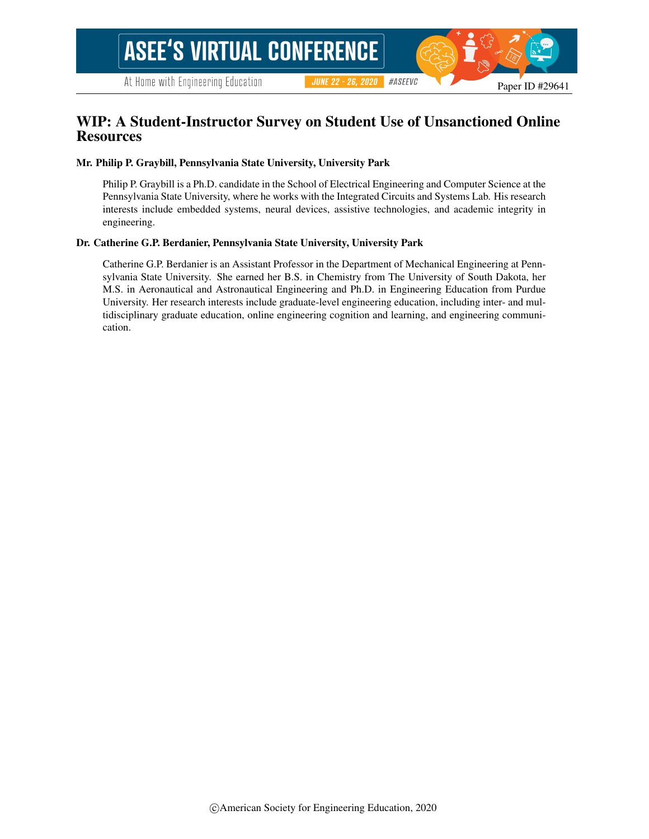# WIP: A Student-Instructor Survey on Student Use of Unsanctioned Online **Resources**

#### Mr. Philip P. Graybill, Pennsylvania State University, University Park

Philip P. Graybill is a Ph.D. candidate in the School of Electrical Engineering and Computer Science at the Pennsylvania State University, where he works with the Integrated Circuits and Systems Lab. His research interests include embedded systems, neural devices, assistive technologies, and academic integrity in engineering.

#### Dr. Catherine G.P. Berdanier, Pennsylvania State University, University Park

Catherine G.P. Berdanier is an Assistant Professor in the Department of Mechanical Engineering at Pennsylvania State University. She earned her B.S. in Chemistry from The University of South Dakota, her M.S. in Aeronautical and Astronautical Engineering and Ph.D. in Engineering Education from Purdue University. Her research interests include graduate-level engineering education, including inter- and multidisciplinary graduate education, online engineering cognition and learning, and engineering communication.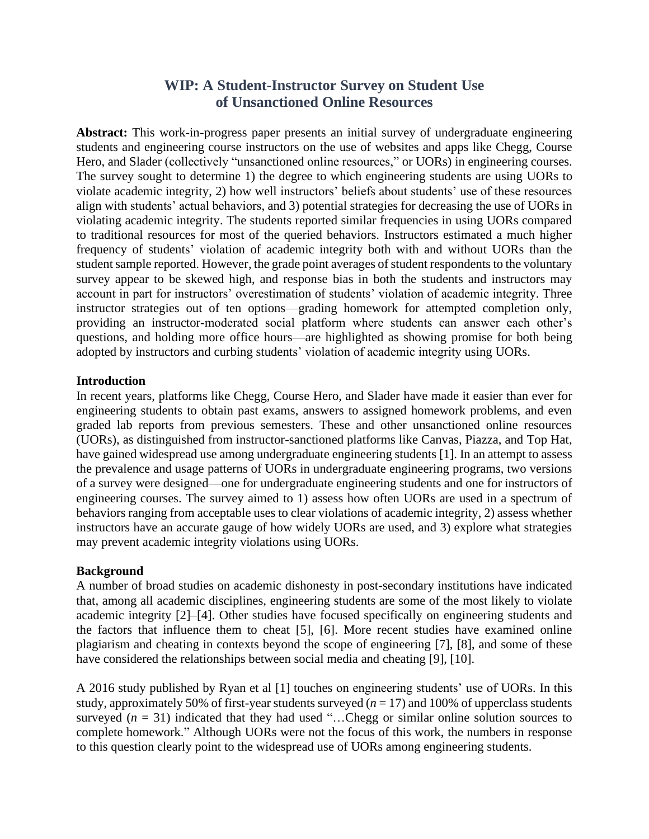# **WIP: A Student-Instructor Survey on Student Use of Unsanctioned Online Resources**

**Abstract:** This work-in-progress paper presents an initial survey of undergraduate engineering students and engineering course instructors on the use of websites and apps like Chegg, Course Hero, and Slader (collectively "unsanctioned online resources," or UORs) in engineering courses. The survey sought to determine 1) the degree to which engineering students are using UORs to violate academic integrity, 2) how well instructors' beliefs about students' use of these resources align with students' actual behaviors, and 3) potential strategies for decreasing the use of UORs in violating academic integrity. The students reported similar frequencies in using UORs compared to traditional resources for most of the queried behaviors. Instructors estimated a much higher frequency of students' violation of academic integrity both with and without UORs than the student sample reported. However, the grade point averages of student respondents to the voluntary survey appear to be skewed high, and response bias in both the students and instructors may account in part for instructors' overestimation of students' violation of academic integrity. Three instructor strategies out of ten options—grading homework for attempted completion only, providing an instructor-moderated social platform where students can answer each other's questions, and holding more office hours—are highlighted as showing promise for both being adopted by instructors and curbing students' violation of academic integrity using UORs.

### **Introduction**

In recent years, platforms like Chegg, Course Hero, and Slader have made it easier than ever for engineering students to obtain past exams, answers to assigned homework problems, and even graded lab reports from previous semesters. These and other unsanctioned online resources (UORs), as distinguished from instructor-sanctioned platforms like Canvas, Piazza, and Top Hat, have gained widespread use among undergraduate engineering students [1]. In an attempt to assess the prevalence and usage patterns of UORs in undergraduate engineering programs, two versions of a survey were designed—one for undergraduate engineering students and one for instructors of engineering courses. The survey aimed to 1) assess how often UORs are used in a spectrum of behaviors ranging from acceptable uses to clear violations of academic integrity, 2) assess whether instructors have an accurate gauge of how widely UORs are used, and 3) explore what strategies may prevent academic integrity violations using UORs.

## **Background**

A number of broad studies on academic dishonesty in post-secondary institutions have indicated that, among all academic disciplines, engineering students are some of the most likely to violate academic integrity [2]–[4]. Other studies have focused specifically on engineering students and the factors that influence them to cheat [5], [6]. More recent studies have examined online plagiarism and cheating in contexts beyond the scope of engineering [7], [8], and some of these have considered the relationships between social media and cheating [9], [10].

A 2016 study published by Ryan et al [1] touches on engineering students' use of UORs. In this study, approximately 50% of first-year students surveyed  $(n = 17)$  and 100% of upperclass students surveyed  $(n = 31)$  indicated that they had used "...Chegg or similar online solution sources to complete homework." Although UORs were not the focus of this work, the numbers in response to this question clearly point to the widespread use of UORs among engineering students.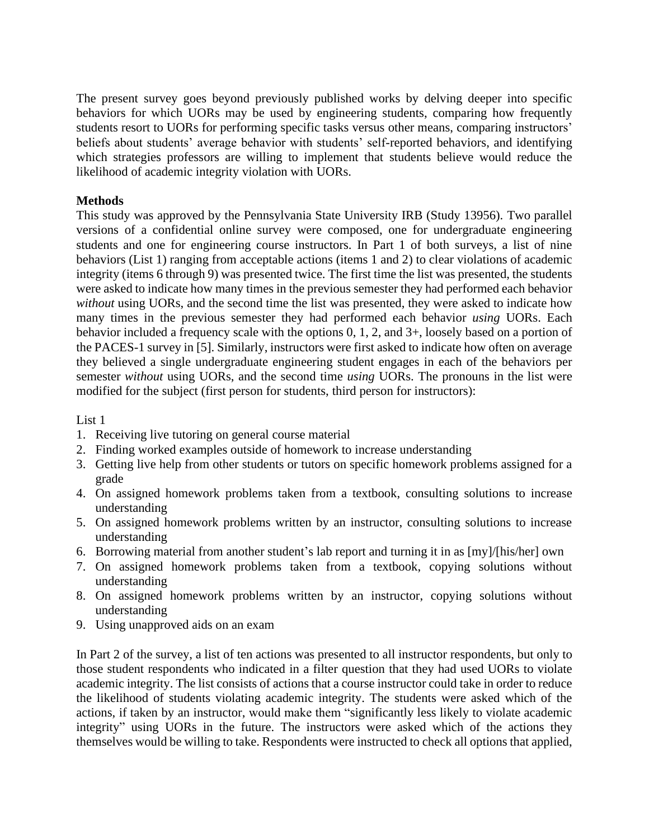The present survey goes beyond previously published works by delving deeper into specific behaviors for which UORs may be used by engineering students, comparing how frequently students resort to UORs for performing specific tasks versus other means, comparing instructors' beliefs about students' average behavior with students' self-reported behaviors, and identifying which strategies professors are willing to implement that students believe would reduce the likelihood of academic integrity violation with UORs.

# **Methods**

This study was approved by the Pennsylvania State University IRB (Study 13956). Two parallel versions of a confidential online survey were composed, one for undergraduate engineering students and one for engineering course instructors. In Part 1 of both surveys, a list of nine behaviors (List 1) ranging from acceptable actions (items 1 and 2) to clear violations of academic integrity (items 6 through 9) was presented twice. The first time the list was presented, the students were asked to indicate how many times in the previous semester they had performed each behavior *without* using UORs, and the second time the list was presented, they were asked to indicate how many times in the previous semester they had performed each behavior *using* UORs. Each behavior included a frequency scale with the options 0, 1, 2, and 3+, loosely based on a portion of the PACES-1 survey in [5]. Similarly, instructors were first asked to indicate how often on average they believed a single undergraduate engineering student engages in each of the behaviors per semester *without* using UORs, and the second time *using* UORs. The pronouns in the list were modified for the subject (first person for students, third person for instructors):

### List 1

- 1. Receiving live tutoring on general course material
- 2. Finding worked examples outside of homework to increase understanding
- 3. Getting live help from other students or tutors on specific homework problems assigned for a grade
- 4. On assigned homework problems taken from a textbook, consulting solutions to increase understanding
- 5. On assigned homework problems written by an instructor, consulting solutions to increase understanding
- 6. Borrowing material from another student's lab report and turning it in as [my]/[his/her] own
- 7. On assigned homework problems taken from a textbook, copying solutions without understanding
- 8. On assigned homework problems written by an instructor, copying solutions without understanding
- 9. Using unapproved aids on an exam

In Part 2 of the survey, a list of ten actions was presented to all instructor respondents, but only to those student respondents who indicated in a filter question that they had used UORs to violate academic integrity. The list consists of actions that a course instructor could take in order to reduce the likelihood of students violating academic integrity. The students were asked which of the actions, if taken by an instructor, would make them "significantly less likely to violate academic integrity" using UORs in the future. The instructors were asked which of the actions they themselves would be willing to take. Respondents were instructed to check all options that applied,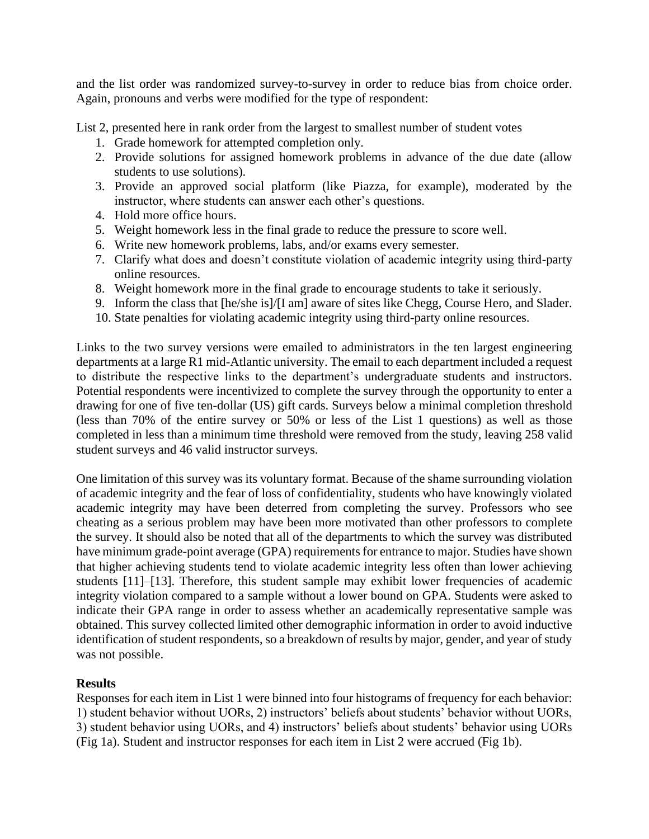and the list order was randomized survey-to-survey in order to reduce bias from choice order. Again, pronouns and verbs were modified for the type of respondent:

List 2, presented here in rank order from the largest to smallest number of student votes

- 1. Grade homework for attempted completion only.
- 2. Provide solutions for assigned homework problems in advance of the due date (allow students to use solutions).
- 3. Provide an approved social platform (like Piazza, for example), moderated by the instructor, where students can answer each other's questions.
- 4. Hold more office hours.
- 5. Weight homework less in the final grade to reduce the pressure to score well.
- 6. Write new homework problems, labs, and/or exams every semester.
- 7. Clarify what does and doesn't constitute violation of academic integrity using third-party online resources.
- 8. Weight homework more in the final grade to encourage students to take it seriously.
- 9. Inform the class that [he/she is]/[I am] aware of sites like Chegg, Course Hero, and Slader.
- 10. State penalties for violating academic integrity using third-party online resources.

Links to the two survey versions were emailed to administrators in the ten largest engineering departments at a large R1 mid-Atlantic university. The email to each department included a request to distribute the respective links to the department's undergraduate students and instructors. Potential respondents were incentivized to complete the survey through the opportunity to enter a drawing for one of five ten-dollar (US) gift cards. Surveys below a minimal completion threshold (less than 70% of the entire survey or 50% or less of the List 1 questions) as well as those completed in less than a minimum time threshold were removed from the study, leaving 258 valid student surveys and 46 valid instructor surveys.

One limitation of this survey was its voluntary format. Because of the shame surrounding violation of academic integrity and the fear of loss of confidentiality, students who have knowingly violated academic integrity may have been deterred from completing the survey. Professors who see cheating as a serious problem may have been more motivated than other professors to complete the survey. It should also be noted that all of the departments to which the survey was distributed have minimum grade-point average (GPA) requirements for entrance to major. Studies have shown that higher achieving students tend to violate academic integrity less often than lower achieving students [11]–[13]. Therefore, this student sample may exhibit lower frequencies of academic integrity violation compared to a sample without a lower bound on GPA. Students were asked to indicate their GPA range in order to assess whether an academically representative sample was obtained. This survey collected limited other demographic information in order to avoid inductive identification of student respondents, so a breakdown of results by major, gender, and year of study was not possible.

## **Results**

Responses for each item in List 1 were binned into four histograms of frequency for each behavior: 1) student behavior without UORs, 2) instructors' beliefs about students' behavior without UORs, 3) student behavior using UORs, and 4) instructors' beliefs about students' behavior using UORs (Fig 1a). Student and instructor responses for each item in List 2 were accrued (Fig 1b).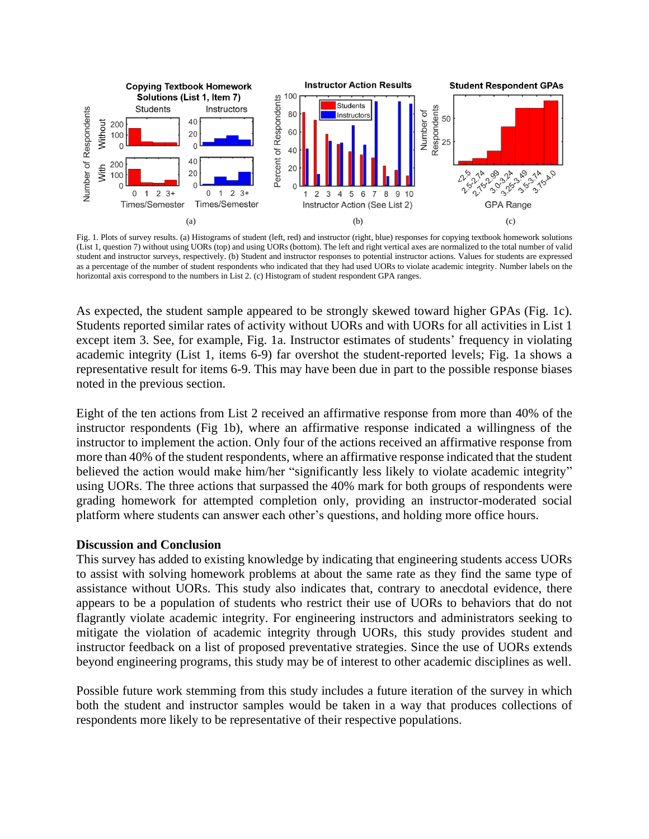

Fig. 1. Plots of survey results. (a) Histograms of student (left, red) and instructor (right, blue) responses for copying textbook homework solutions (List 1, question 7) without using UORs (top) and using UORs (bottom). The left and right vertical axes are normalized to the total number of valid student and instructor surveys, respectively. (b) Student and instructor responses to potential instructor actions. Values for students are expressed as a percentage of the number of student respondents who indicated that they had used UORs to violate academic integrity. Number labels on the horizontal axis correspond to the numbers in List 2. (c) Histogram of student respondent GPA ranges.

As expected, the student sample appeared to be strongly skewed toward higher GPAs (Fig. 1c). Students reported similar rates of activity without UORs and with UORs for all activities in List 1 except item 3. See, for example, Fig. 1a. Instructor estimates of students' frequency in violating academic integrity (List 1, items 6-9) far overshot the student-reported levels; Fig. 1a shows a representative result for items 6-9. This may have been due in part to the possible response biases noted in the previous section.

Eight of the ten actions from List 2 received an affirmative response from more than 40% of the instructor respondents (Fig 1b), where an affirmative response indicated a willingness of the instructor to implement the action. Only four of the actions received an affirmative response from more than 40% of the student respondents, where an affirmative response indicated that the student believed the action would make him/her "significantly less likely to violate academic integrity" using UORs. The three actions that surpassed the 40% mark for both groups of respondents were grading homework for attempted completion only, providing an instructor-moderated social platform where students can answer each other's questions, and holding more office hours.

#### **Discussion and Conclusion**

This survey has added to existing knowledge by indicating that engineering students access UORs to assist with solving homework problems at about the same rate as they find the same type of assistance without UORs. This study also indicates that, contrary to anecdotal evidence, there appears to be a population of students who restrict their use of UORs to behaviors that do not flagrantly violate academic integrity. For engineering instructors and administrators seeking to mitigate the violation of academic integrity through UORs, this study provides student and instructor feedback on a list of proposed preventative strategies. Since the use of UORs extends beyond engineering programs, this study may be of interest to other academic disciplines as well.

Possible future work stemming from this study includes a future iteration of the survey in which both the student and instructor samples would be taken in a way that produces collections of respondents more likely to be representative of their respective populations.